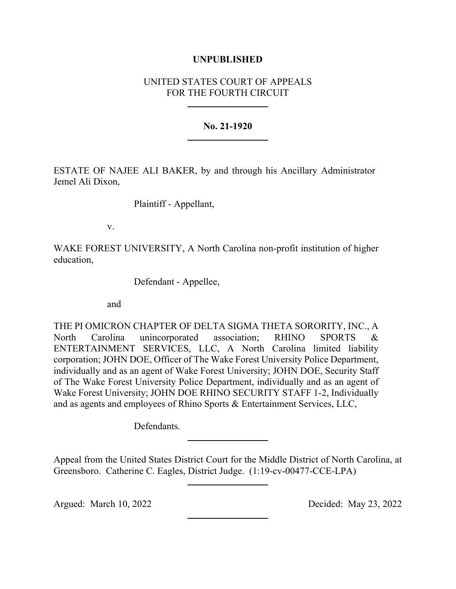## **UNPUBLISHED**

# UNITED STATES COURT OF APPEALS FOR THE FOURTH CIRCUIT

## **No. 21-1920**

ESTATE OF NAJEE ALI BAKER, by and through his Ancillary Administrator Jemel Ali Dixon,

Plaintiff - Appellant,

v.

WAKE FOREST UNIVERSITY, A North Carolina non-profit institution of higher education,

Defendant - Appellee,

and

THE PI OMICRON CHAPTER OF DELTA SIGMA THETA SORORITY, INC., A North Carolina unincorporated association; RHINO SPORTS & ENTERTAINMENT SERVICES, LLC, A North Carolina limited liability corporation; JOHN DOE, Officer of The Wake Forest University Police Department, individually and as an agent of Wake Forest University; JOHN DOE, Security Staff of The Wake Forest University Police Department, individually and as an agent of Wake Forest University; JOHN DOE RHINO SECURITY STAFF 1-2, Individually and as agents and employees of Rhino Sports & Entertainment Services, LLC,

Defendants.

Appeal from the United States District Court for the Middle District of North Carolina, at Greensboro. Catherine C. Eagles, District Judge. (1:19-cv-00477-CCE-LPA)

Argued: March 10, 2022 Decided: May 23, 2022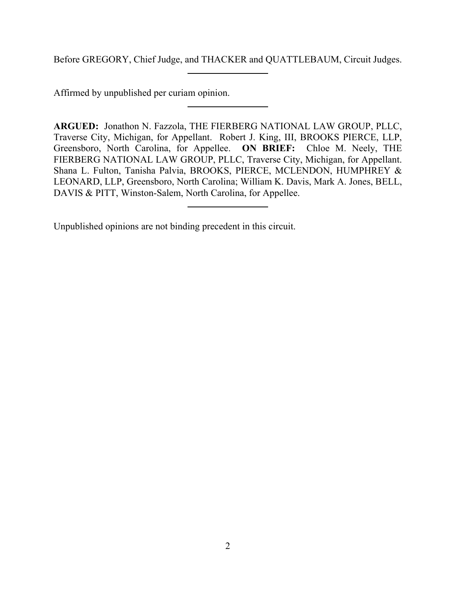Before GREGORY, Chief Judge, and THACKER and QUATTLEBAUM, Circuit Judges.

Affirmed by unpublished per curiam opinion.

**ARGUED:** Jonathon N. Fazzola, THE FIERBERG NATIONAL LAW GROUP, PLLC, Traverse City, Michigan, for Appellant. Robert J. King, III, BROOKS PIERCE, LLP, Greensboro, North Carolina, for Appellee. **ON BRIEF:** Chloe M. Neely, THE FIERBERG NATIONAL LAW GROUP, PLLC, Traverse City, Michigan, for Appellant. Shana L. Fulton, Tanisha Palvia, BROOKS, PIERCE, MCLENDON, HUMPHREY & LEONARD, LLP, Greensboro, North Carolina; William K. Davis, Mark A. Jones, BELL, DAVIS & PITT, Winston-Salem, North Carolina, for Appellee.

Unpublished opinions are not binding precedent in this circuit.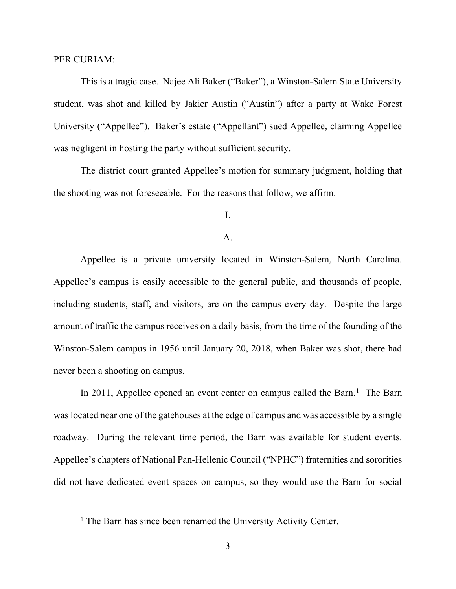### PER CURIAM:

This is a tragic case. Najee Ali Baker ("Baker"), a Winston-Salem State University student, was shot and killed by Jakier Austin ("Austin") after a party at Wake Forest University ("Appellee"). Baker's estate ("Appellant") sued Appellee, claiming Appellee was negligent in hosting the party without sufficient security.

The district court granted Appellee's motion for summary judgment, holding that the shooting was not foreseeable. For the reasons that follow, we affirm.

## I.

### A.

Appellee is a private university located in Winston-Salem, North Carolina. Appellee's campus is easily accessible to the general public, and thousands of people, including students, staff, and visitors, are on the campus every day. Despite the large amount of traffic the campus receives on a daily basis, from the time of the founding of the Winston-Salem campus in 1956 until January 20, 2018, when Baker was shot, there had never been a shooting on campus.

In 20[1](#page-2-0)1, Appellee opened an event center on campus called the Barn.<sup>1</sup> The Barn was located near one of the gatehouses at the edge of campus and was accessible by a single roadway. During the relevant time period, the Barn was available for student events. Appellee's chapters of National Pan-Hellenic Council ("NPHC") fraternities and sororities did not have dedicated event spaces on campus, so they would use the Barn for social

<span id="page-2-0"></span><sup>&</sup>lt;sup>1</sup> The Barn has since been renamed the University Activity Center.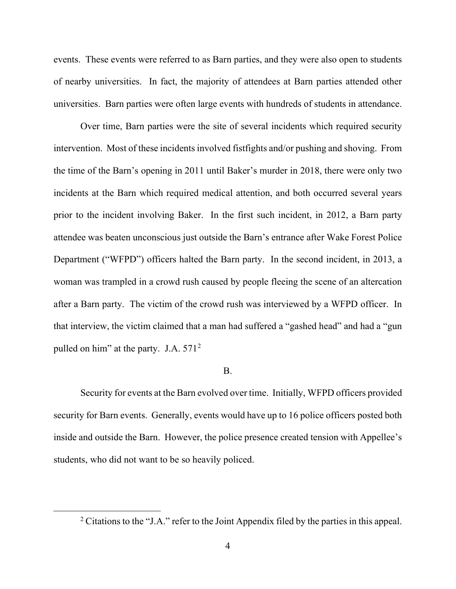events. These events were referred to as Barn parties, and they were also open to students of nearby universities. In fact, the majority of attendees at Barn parties attended other universities. Barn parties were often large events with hundreds of students in attendance.

Over time, Barn parties were the site of several incidents which required security intervention. Most of these incidents involved fistfights and/or pushing and shoving. From the time of the Barn's opening in 2011 until Baker's murder in 2018, there were only two incidents at the Barn which required medical attention, and both occurred several years prior to the incident involving Baker. In the first such incident, in 2012, a Barn party attendee was beaten unconscious just outside the Barn's entrance after Wake Forest Police Department ("WFPD") officers halted the Barn party. In the second incident, in 2013, a woman was trampled in a crowd rush caused by people fleeing the scene of an altercation after a Barn party. The victim of the crowd rush was interviewed by a WFPD officer. In that interview, the victim claimed that a man had suffered a "gashed head" and had a "gun pulled on him" at the party. J.A. 571<sup>[2](#page-3-0)</sup>

### B.

Security for events at the Barn evolved over time. Initially, WFPD officers provided security for Barn events. Generally, events would have up to 16 police officers posted both inside and outside the Barn. However, the police presence created tension with Appellee's students, who did not want to be so heavily policed.

<span id="page-3-0"></span><sup>&</sup>lt;sup>2</sup> Citations to the "J.A." refer to the Joint Appendix filed by the parties in this appeal.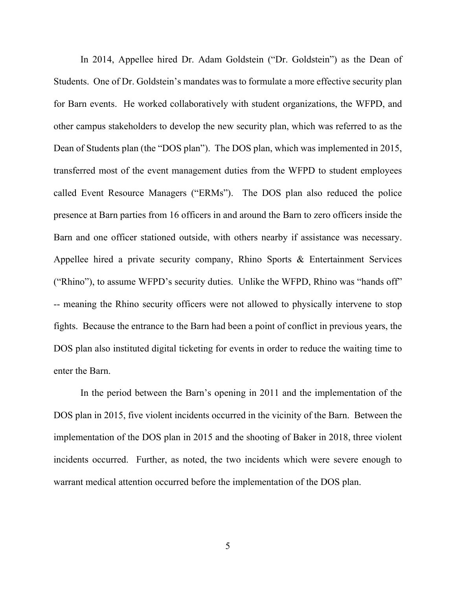In 2014, Appellee hired Dr. Adam Goldstein ("Dr. Goldstein") as the Dean of Students. One of Dr. Goldstein's mandates was to formulate a more effective security plan for Barn events. He worked collaboratively with student organizations, the WFPD, and other campus stakeholders to develop the new security plan, which was referred to as the Dean of Students plan (the "DOS plan"). The DOS plan, which was implemented in 2015, transferred most of the event management duties from the WFPD to student employees called Event Resource Managers ("ERMs"). The DOS plan also reduced the police presence at Barn parties from 16 officers in and around the Barn to zero officers inside the Barn and one officer stationed outside, with others nearby if assistance was necessary. Appellee hired a private security company, Rhino Sports & Entertainment Services ("Rhino"), to assume WFPD's security duties. Unlike the WFPD, Rhino was "hands off" -- meaning the Rhino security officers were not allowed to physically intervene to stop fights. Because the entrance to the Barn had been a point of conflict in previous years, the DOS plan also instituted digital ticketing for events in order to reduce the waiting time to enter the Barn.

In the period between the Barn's opening in 2011 and the implementation of the DOS plan in 2015, five violent incidents occurred in the vicinity of the Barn. Between the implementation of the DOS plan in 2015 and the shooting of Baker in 2018, three violent incidents occurred. Further, as noted, the two incidents which were severe enough to warrant medical attention occurred before the implementation of the DOS plan.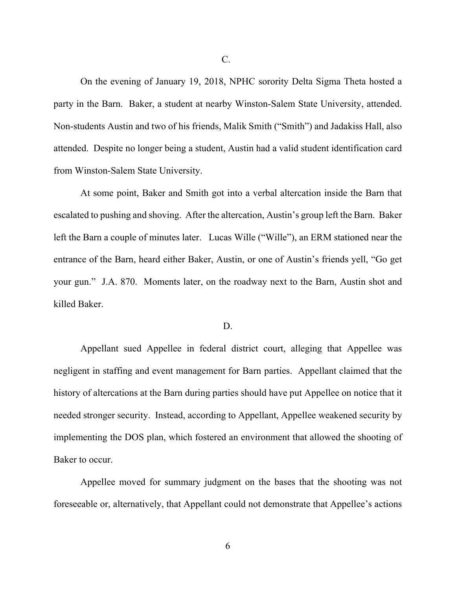On the evening of January 19, 2018, NPHC sorority Delta Sigma Theta hosted a party in the Barn. Baker, a student at nearby Winston-Salem State University, attended. Non-students Austin and two of his friends, Malik Smith ("Smith") and Jadakiss Hall, also attended. Despite no longer being a student, Austin had a valid student identification card from Winston-Salem State University.

At some point, Baker and Smith got into a verbal altercation inside the Barn that escalated to pushing and shoving. After the altercation, Austin's group left the Barn. Baker left the Barn a couple of minutes later. Lucas Wille ("Wille"), an ERM stationed near the entrance of the Barn, heard either Baker, Austin, or one of Austin's friends yell, "Go get your gun." J.A. 870. Moments later, on the roadway next to the Barn, Austin shot and killed Baker.

### D.

Appellant sued Appellee in federal district court, alleging that Appellee was negligent in staffing and event management for Barn parties. Appellant claimed that the history of altercations at the Barn during parties should have put Appellee on notice that it needed stronger security. Instead, according to Appellant, Appellee weakened security by implementing the DOS plan, which fostered an environment that allowed the shooting of Baker to occur.

Appellee moved for summary judgment on the bases that the shooting was not foreseeable or, alternatively, that Appellant could not demonstrate that Appellee's actions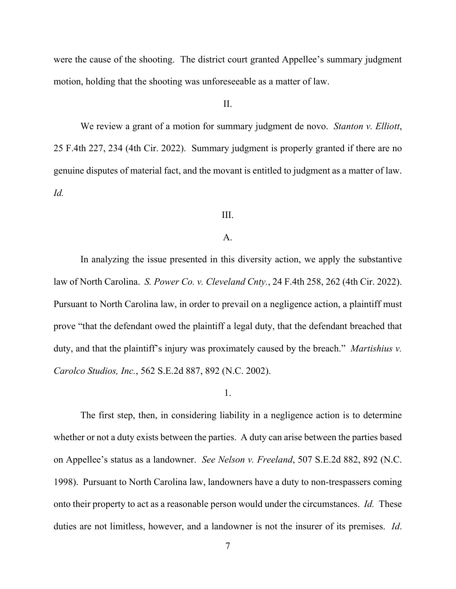were the cause of the shooting. The district court granted Appellee's summary judgment motion, holding that the shooting was unforeseeable as a matter of law.

## II.

We review a grant of a motion for summary judgment de novo. *Stanton v. Elliott*, 25 F.4th 227, 234 (4th Cir. 2022). Summary judgment is properly granted if there are no genuine disputes of material fact, and the movant is entitled to judgment as a matter of law. *Id.* 

## III.

### A.

In analyzing the issue presented in this diversity action, we apply the substantive law of North Carolina. *S. Power Co. v. Cleveland Cnty.*, 24 F.4th 258, 262 (4th Cir. 2022). Pursuant to North Carolina law, in order to prevail on a negligence action, a plaintiff must prove "that the defendant owed the plaintiff a legal duty, that the defendant breached that duty, and that the plaintiff's injury was proximately caused by the breach." *Martishius v. Carolco Studios, Inc.*, 562 S.E.2d 887, 892 (N.C. 2002).

1.

The first step, then, in considering liability in a negligence action is to determine whether or not a duty exists between the parties. A duty can arise between the parties based on Appellee's status as a landowner. *See Nelson v. Freeland*, 507 S.E.2d 882, 892 (N.C. 1998). Pursuant to North Carolina law, landowners have a duty to non-trespassers coming onto their property to act as a reasonable person would under the circumstances. *Id.* These duties are not limitless, however, and a landowner is not the insurer of its premises. *Id*.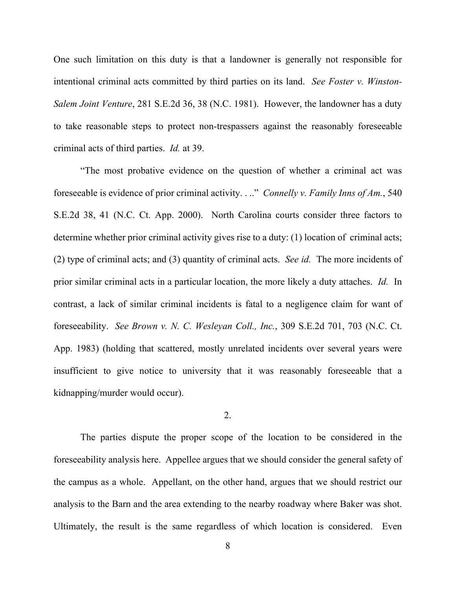One such limitation on this duty is that a landowner is generally not responsible for intentional criminal acts committed by third parties on its land. *See Foster v. Winston-Salem Joint Venture*, 281 S.E.2d 36, 38 (N.C. 1981). However, the landowner has a duty to take reasonable steps to protect non-trespassers against the reasonably foreseeable criminal acts of third parties. *Id.* at 39.

"The most probative evidence on the question of whether a criminal act was foreseeable is evidence of prior criminal activity. . .." *Connelly v. Family Inns of Am.*, 540 S.E.2d 38, 41 (N.C. Ct. App. 2000). North Carolina courts consider three factors to determine whether prior criminal activity gives rise to a duty: (1) location of criminal acts; (2) type of criminal acts; and (3) quantity of criminal acts. *See id.* The more incidents of prior similar criminal acts in a particular location, the more likely a duty attaches. *Id.* In contrast, a lack of similar criminal incidents is fatal to a negligence claim for want of foreseeability. *See Brown v. N. C. Wesleyan Coll., Inc.*, 309 S.E.2d 701, 703 (N.C. Ct. App. 1983) (holding that scattered, mostly unrelated incidents over several years were insufficient to give notice to university that it was reasonably foreseeable that a kidnapping/murder would occur).

### 2.

The parties dispute the proper scope of the location to be considered in the foreseeability analysis here. Appellee argues that we should consider the general safety of the campus as a whole. Appellant, on the other hand, argues that we should restrict our analysis to the Barn and the area extending to the nearby roadway where Baker was shot. Ultimately, the result is the same regardless of which location is considered. Even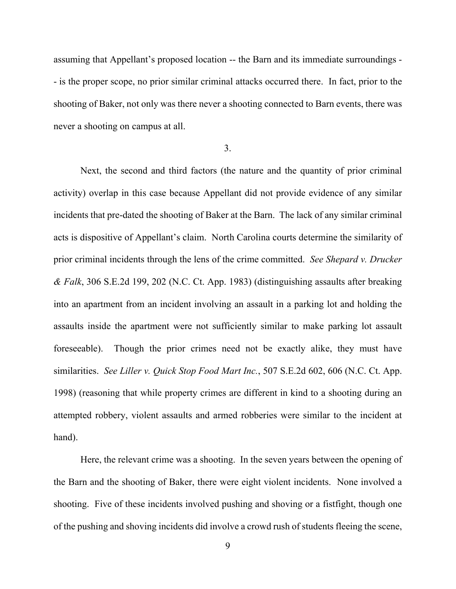assuming that Appellant's proposed location -- the Barn and its immediate surroundings - - is the proper scope, no prior similar criminal attacks occurred there. In fact, prior to the shooting of Baker, not only was there never a shooting connected to Barn events, there was never a shooting on campus at all.

## 3.

Next, the second and third factors (the nature and the quantity of prior criminal activity) overlap in this case because Appellant did not provide evidence of any similar incidents that pre-dated the shooting of Baker at the Barn. The lack of any similar criminal acts is dispositive of Appellant's claim. North Carolina courts determine the similarity of prior criminal incidents through the lens of the crime committed. *See Shepard v. Drucker & Falk*, 306 S.E.2d 199, 202 (N.C. Ct. App. 1983) (distinguishing assaults after breaking into an apartment from an incident involving an assault in a parking lot and holding the assaults inside the apartment were not sufficiently similar to make parking lot assault foreseeable). Though the prior crimes need not be exactly alike, they must have similarities. *See Liller v. Quick Stop Food Mart Inc.*, 507 S.E.2d 602, 606 (N.C. Ct. App. 1998) (reasoning that while property crimes are different in kind to a shooting during an attempted robbery, violent assaults and armed robberies were similar to the incident at hand).

Here, the relevant crime was a shooting. In the seven years between the opening of the Barn and the shooting of Baker, there were eight violent incidents. None involved a shooting. Five of these incidents involved pushing and shoving or a fistfight, though one of the pushing and shoving incidents did involve a crowd rush of students fleeing the scene,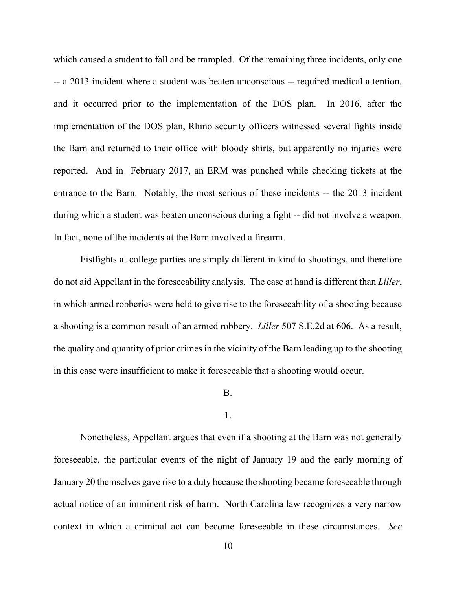which caused a student to fall and be trampled. Of the remaining three incidents, only one -- a 2013 incident where a student was beaten unconscious -- required medical attention, and it occurred prior to the implementation of the DOS plan. In 2016, after the implementation of the DOS plan, Rhino security officers witnessed several fights inside the Barn and returned to their office with bloody shirts, but apparently no injuries were reported. And in February 2017, an ERM was punched while checking tickets at the entrance to the Barn. Notably, the most serious of these incidents -- the 2013 incident during which a student was beaten unconscious during a fight -- did not involve a weapon. In fact, none of the incidents at the Barn involved a firearm.

Fistfights at college parties are simply different in kind to shootings, and therefore do not aid Appellant in the foreseeability analysis. The case at hand is different than *Liller*, in which armed robberies were held to give rise to the foreseeability of a shooting because a shooting is a common result of an armed robbery. *Liller* 507 S.E.2d at 606. As a result, the quality and quantity of prior crimes in the vicinity of the Barn leading up to the shooting in this case were insufficient to make it foreseeable that a shooting would occur.

### B.

#### 1.

Nonetheless, Appellant argues that even if a shooting at the Barn was not generally foreseeable, the particular events of the night of January 19 and the early morning of January 20 themselves gave rise to a duty because the shooting became foreseeable through actual notice of an imminent risk of harm. North Carolina law recognizes a very narrow context in which a criminal act can become foreseeable in these circumstances. *See*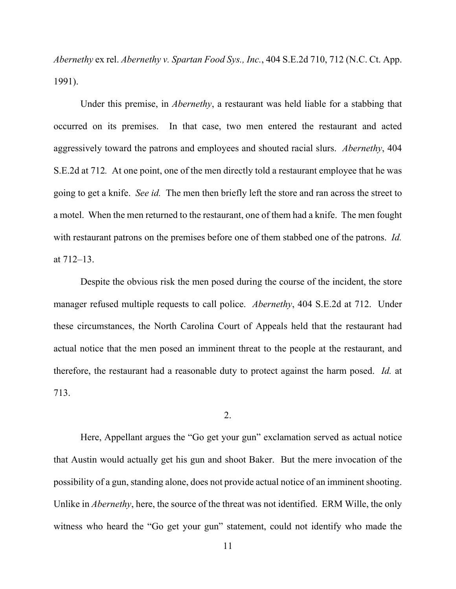*Abernethy* ex rel. *Abernethy v. Spartan Food Sys., Inc.*, 404 S.E.2d 710, 712 (N.C. Ct. App. 1991).

Under this premise, in *Abernethy*, a restaurant was held liable for a stabbing that occurred on its premises. In that case, two men entered the restaurant and acted aggressively toward the patrons and employees and shouted racial slurs. *Abernethy*, 404 S.E.2d at 712*.* At one point, one of the men directly told a restaurant employee that he was going to get a knife. *See id.* The men then briefly left the store and ran across the street to a motel. When the men returned to the restaurant, one of them had a knife. The men fought with restaurant patrons on the premises before one of them stabbed one of the patrons. *Id.*  at 712–13.

Despite the obvious risk the men posed during the course of the incident, the store manager refused multiple requests to call police. *Abernethy*, 404 S.E.2d at 712. Under these circumstances, the North Carolina Court of Appeals held that the restaurant had actual notice that the men posed an imminent threat to the people at the restaurant, and therefore, the restaurant had a reasonable duty to protect against the harm posed. *Id.* at 713.

2.

Here, Appellant argues the "Go get your gun" exclamation served as actual notice that Austin would actually get his gun and shoot Baker. But the mere invocation of the possibility of a gun, standing alone, does not provide actual notice of an imminent shooting. Unlike in *Abernethy*, here, the source of the threat was not identified. ERM Wille, the only witness who heard the "Go get your gun" statement, could not identify who made the